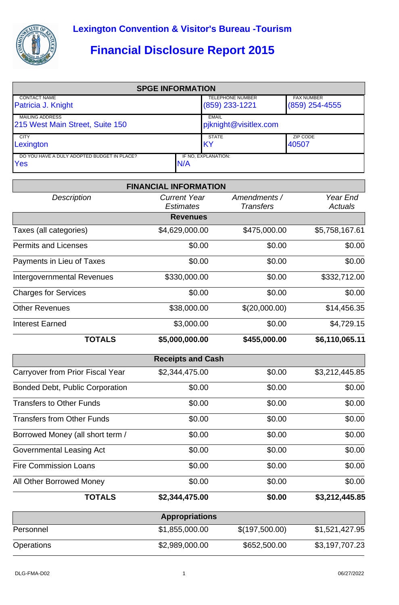

## **Financial Disclosure Report 2015**

| <b>SPGE INFORMATION</b>                            |      |                                             |                                       |  |  |  |
|----------------------------------------------------|------|---------------------------------------------|---------------------------------------|--|--|--|
| <b>CONTACT NAME</b><br>Patricia J. Knight          |      | <b>TELEPHONE NUMBER</b><br>$(859)$ 233-1221 | <b>FAX NUMBER</b><br>$(859)$ 254-4555 |  |  |  |
| <b>MAILING ADDRESS</b>                             |      | EMAIL                                       |                                       |  |  |  |
| 215 West Main Street, Suite 150                    |      | piknight@visitlex.com                       |                                       |  |  |  |
| <b>CITY</b>                                        |      | <b>STATE</b>                                | ZIP CODE                              |  |  |  |
| Lexington                                          |      | <b>IKY</b>                                  | 40507                                 |  |  |  |
| DO YOU HAVE A DULY ADOPTED BUDGET IN PLACE?<br>Yes | IN/A | IF NO, EXPLANATION:                         |                                       |  |  |  |

|                                        | <b>FINANCIAL INFORMATION</b>            |                                  |                            |
|----------------------------------------|-----------------------------------------|----------------------------------|----------------------------|
| <b>Description</b>                     | <b>Current Year</b><br><b>Estimates</b> | Amendments /<br><b>Transfers</b> | Year End<br><b>Actuals</b> |
|                                        | <b>Revenues</b>                         |                                  |                            |
| Taxes (all categories)                 | \$4,629,000.00                          | \$475,000.00                     | \$5,758,167.61             |
| <b>Permits and Licenses</b>            | \$0.00                                  | \$0.00                           | \$0.00                     |
| Payments in Lieu of Taxes              | \$0.00                                  | \$0.00                           | \$0.00                     |
| <b>Intergovernmental Revenues</b>      | \$330,000.00                            | \$0.00                           | \$332,712.00               |
| <b>Charges for Services</b>            | \$0.00                                  | \$0.00                           | \$0.00                     |
| <b>Other Revenues</b>                  | \$38,000.00                             | \$(20,000.00)                    | \$14,456.35                |
| <b>Interest Earned</b>                 | \$3,000.00                              | \$0.00                           | \$4,729.15                 |
| <b>TOTALS</b>                          | \$5,000,000.00                          | \$455,000.00                     | \$6,110,065.11             |
|                                        | <b>Receipts and Cash</b>                |                                  |                            |
| Carryover from Prior Fiscal Year       | \$2,344,475.00                          | \$0.00                           | \$3,212,445.85             |
| <b>Bonded Debt, Public Corporation</b> | \$0.00                                  | \$0.00                           | \$0.00                     |
| <b>Transfers to Other Funds</b>        | \$0.00                                  | \$0.00                           | \$0.00                     |
| <b>Transfers from Other Funds</b>      | \$0.00                                  | \$0.00                           | \$0.00                     |
| Borrowed Money (all short term /       | \$0.00                                  | \$0.00                           | \$0.00                     |
| Governmental Leasing Act               | \$0.00                                  | \$0.00                           | \$0.00                     |
| <b>Fire Commission Loans</b>           | \$0.00                                  | \$0.00                           | \$0.00                     |
| All Other Borrowed Money               | \$0.00                                  | \$0.00                           | \$0.00                     |
| <b>TOTALS</b>                          | \$2,344,475.00                          | \$0.00                           | \$3,212,445.85             |
|                                        | <b>Appropriations</b>                   |                                  |                            |
| Personnel                              | \$1,855,000.00                          | \$(197,500.00)                   | \$1,521,427.95             |
| Operations                             | \$2,989,000.00                          | \$652,500.00                     | \$3,197,707.23             |